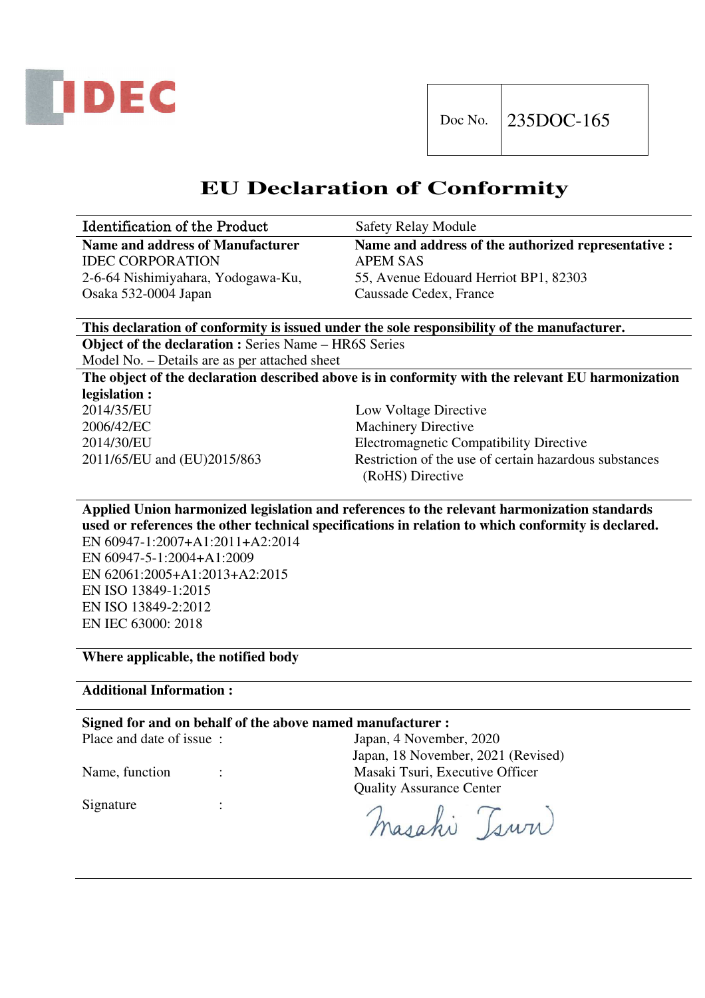

## **EU Declaration of Conformity**

| <b>Identification of the Product</b> | <b>Safety Relay Module</b>                          |
|--------------------------------------|-----------------------------------------------------|
| Name and address of Manufacturer     | Name and address of the authorized representative : |
| <b>IDEC CORPORATION</b>              | APEM SAS                                            |
| 2-6-64 Nishimiyahara, Yodogawa-Ku,   | 55, Avenue Edouard Herriot BP1, 82303               |
| Osaka 532-0004 Japan                 | Caussade Cedex, France                              |

**This declaration of conformity is issued under the sole responsibility of the manufacturer. Object of the declaration :** Series Name – HR6S Series

Model No. – Details are as per attached sheet

**The object of the declaration described above is in conformity with the relevant EU harmonization legislation :**  2014/35/EU Low Voltage Directive

2006/42/EC Machinery Directive

2014/30/EU Electromagnetic Compatibility Directive 2011/65/EU and (EU)2015/863 Restriction of the use of certain hazardous substances (RoHS) Directive

**Applied Union harmonized legislation and references to the relevant harmonization standards used or references the other technical specifications in relation to which conformity is declared.**  EN 60947-1:2007+A1:2011+A2:2014

EN 60947-5-1:2004+A1:2009 EN 62061:2005+A1:2013+A2:2015 EN ISO 13849-1:2015 EN ISO 13849-2:2012 EN IEC 63000: 2018

**Where applicable, the notified body** 

**Additional Information :** 

## **Signed for and on behalf of the above named manufacturer :**

Place and date of issue : Japan, 4 November, 2020

Japan, 18 November, 2021 (Revised) Name, function : Masaki Tsuri, Executive Officer Quality Assurance Center

masahi Tsuri

Signature :